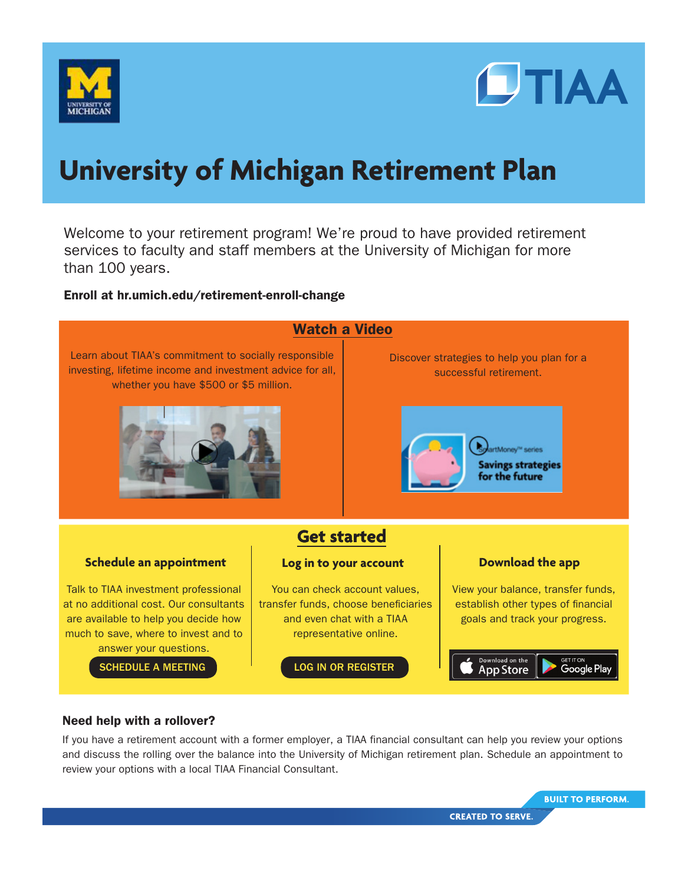



# **University of Michigan Retirement Plan**

Welcome to your retirement program! We're proud to have provided retirement services to faculty and staff members at the University of Michigan for more than 100 years.

### Enroll at hr.umich.edu/retirement-enroll-change



### Need help with a rollover?

If you have a retirement account with a former employer, a TIAA financial consultant can help you review your options and discuss the rolling over the balance into the University of Michigan retirement plan. Schedule an appointment to review your options with a local TIAA Financial Consultant.

**BUILT TO PERFORM.**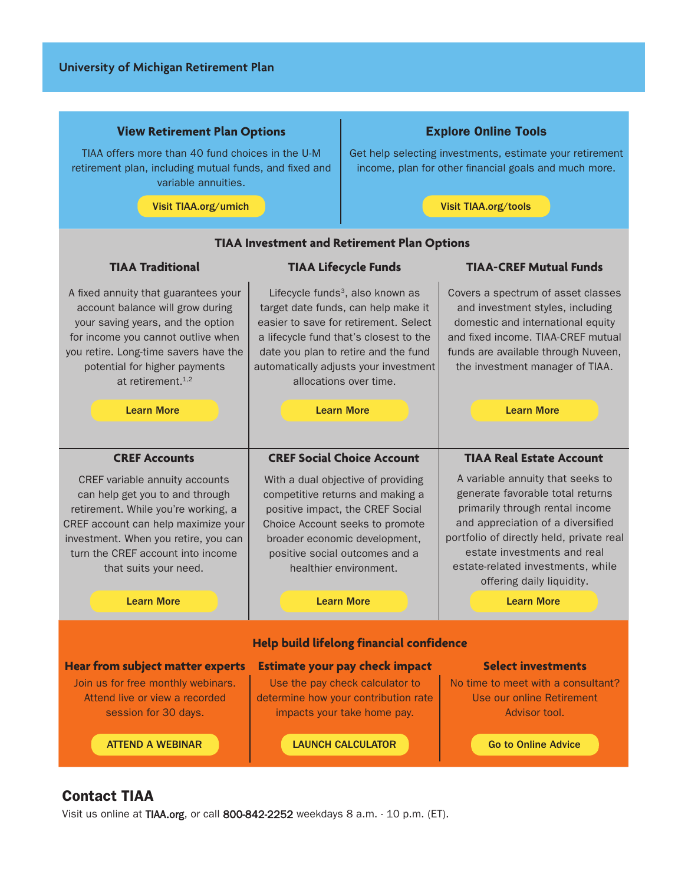### View **Retirement Plan Options**

TIAA offers more than 40 fund choices in the U-M retirement plan, including mutual funds, and fixed and variable annuities.

[Visit TIAA.org/umich](https://www.tiaa.org/public/tcm/umich/home) [Visit TIAA.org/tools](https://www.tiaa.org/public/offer/insights/tools-calculators)

### Explore Online Tools

Get help selecting investments, estimate your retirement income, plan for other financial goals and much more.

### **Help build lifelong financial confidence Hear from subject matter experts** Estimate your pay check impact Select investments Join us for free monthly webinars. Attend live or view a recorded session for 30 days. Use the pay check calculator to determine how your contribution rate impacts your take home pay. No time to meet with a consultant? Use our online Retirement Advisor tool. [ATTEND A WEBINAR](https://shared.tiaa.org/public/publictools/campaign/login/webinar?resume=/idp/7otCy/resumeSAML20/idp/SSO.ping) [LAUNCH CALCULATOR](https://www.tiaa.org/public/tcm/umich/calculator) LAUNCH [Go to Online Advice](https://www.tiaa.org/public/offer/insights/retirement-advisor) **TIAA Investment and Retirement Plan Options TIAA Traditional TIAA Lifecycle Funds TIAA-CREF Mutual Funds** A fixed annuity that guarantees your account balance will grow during your saving years, and the option for income you cannot outlive when you retire. Long-time savers have the potential for higher payments at retirement  $1,2$ Lifecycle funds<sup>3</sup>, also known as target date funds, can help make it easier to save for retirement. Select a lifecycle fund that's closest to the date you plan to retire and the fund automatically adjusts your investment allocations over time. Covers a spectrum of asset classes and investment styles, including domestic and international equity and fixed income. TIAA-CREF mutual funds are available through Nuveen, the investment manager of TIAA. [Learn More](https://www.tiaa.org/public/retire/financial-products/annuities/retirement-plan-annuities/tiaa-traditional-annuity) [Learn More](https://www.tiaa.org/public/retire/financial-products/target-date-funds) [Learn More](https://www.tiaa.org/public/invest/financial-products/mutual-funds) **CREF Accounts CREF Social Choice Account TIAA Real Estate Account** CREF variable annuity accounts can help get you to and through retirement. While you're working, a CREF account can help maximize your investment. When you retire, you can turn the CREF account into income that suits your need. With a dual objective of providing competitive returns and making a positive impact, the CREF Social Choice Account seeks to promote broader economic development, positive social outcomes and a healthier environment. A variable annuity that seeks to generate favorable total returns primarily through rental income and appreciation of a diversified portfolio of directly held, private real estate investments and real estate-related investments, while offering daily liquidity. [Learn More](https://www.tiaa.org/public/retire/financial-products/annuities/retirement-plan-annuities/cref-accounts#20000870933960) [Learn More](https://www.tiaa.org/public/invest/financial-products/mutual-funds/responsible-investing) [Learn More](https://www.tiaa.org/public/investment-performance/tiaavariableannuity/profile?ticker=QREARX)

## Contact TIAA

Visit us online at TIAA.org, or call 800-842-2252 weekdays 8 a.m. - 10 p.m. (ET).